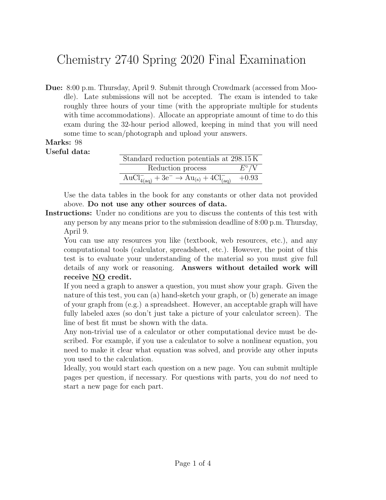## Chemistry 2740 Spring 2020 Final Examination

Due: 8:00 p.m. Thursday, April 9. Submit through Crowdmark (accessed from Moodle). Late submissions will not be accepted. The exam is intended to take roughly three hours of your time (with the appropriate multiple for students with time accommodations). Allocate an appropriate amount of time to do this exam during the 32-hour period allowed, keeping in mind that you will need some time to scan/photograph and upload your answers.

## Marks: 98 Useful data:

| Standard reduction potentials at 298.15K                          |               |  |
|-------------------------------------------------------------------|---------------|--|
| Reduction process                                                 | $E^{\circ}/V$ |  |
| $AuCl^{-}_{4(aq)} + 3e^{-} \rightarrow Au_{(s)} + 4Cl^{-}_{(aq)}$ | $+0.93$       |  |

Use the data tables in the book for any constants or other data not provided above. Do not use any other sources of data.

Instructions: Under no conditions are you to discuss the contents of this test with any person by any means prior to the submission deadline of 8:00 p.m. Thursday, April 9.

You can use any resources you like (textbook, web resources, etc.), and any computational tools (calculator, spreadsheet, etc.). However, the point of this test is to evaluate your understanding of the material so you must give full details of any work or reasoning. Answers without detailed work will receive NO credit.

If you need a graph to answer a question, you must show your graph. Given the nature of this test, you can (a) hand-sketch your graph, or (b) generate an image of your graph from (e.g.) a spreadsheet. However, an acceptable graph will have fully labeled axes (so don't just take a picture of your calculator screen). The line of best fit must be shown with the data.

Any non-trivial use of a calculator or other computational device must be described. For example, if you use a calculator to solve a nonlinear equation, you need to make it clear what equation was solved, and provide any other inputs you used to the calculation.

Ideally, you would start each question on a new page. You can submit multiple pages per question, if necessary. For questions with parts, you do not need to start a new page for each part.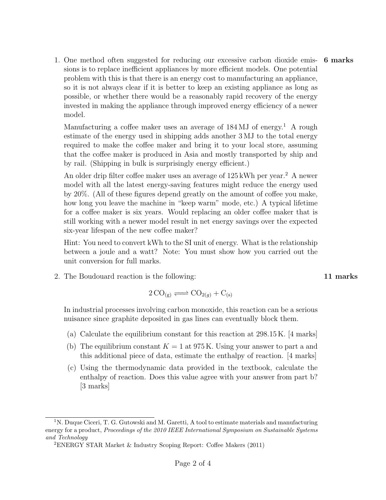1. One method often suggested for reducing our excessive carbon dioxide emis- 6 marks sions is to replace inefficient appliances by more efficient models. One potential problem with this is that there is an energy cost to manufacturing an appliance, so it is not always clear if it is better to keep an existing appliance as long as possible, or whether there would be a reasonably rapid recovery of the energy invested in making the appliance through improved energy efficiency of a newer model.

Manufacturing a coffee maker uses an average of  $184 \,\mathrm{MJ}$  of energy.<sup>1</sup> A rough estimate of the energy used in shipping adds another 3 MJ to the total energy required to make the coffee maker and bring it to your local store, assuming that the coffee maker is produced in Asia and mostly transported by ship and by rail. (Shipping in bulk is surprisingly energy efficient.)

An older drip filter coffee maker uses an average of  $125 \text{ kWh}$  per year.<sup>2</sup> A newer model with all the latest energy-saving features might reduce the energy used by 20%. (All of these figures depend greatly on the amount of coffee you make, how long you leave the machine in "keep warm" mode, etc.) A typical lifetime for a coffee maker is six years. Would replacing an older coffee maker that is still working with a newer model result in net energy savings over the expected six-year lifespan of the new coffee maker?

Hint: You need to convert kWh to the SI unit of energy. What is the relationship between a joule and a watt? Note: You must show how you carried out the unit conversion for full marks.

2. The Boudouard reaction is the following: 11 marks 11 marks

$$
2\,\mathrm{CO}_{(g)} \rightleftharpoons \mathrm{CO}_{2(g)} + \mathrm{C}_{(s)}
$$

In industrial processes involving carbon monoxide, this reaction can be a serious nuisance since graphite deposited in gas lines can eventually block them.

- (a) Calculate the equilibrium constant for this reaction at 298.15 K. [4 marks]
- (b) The equilibrium constant  $K = 1$  at 975 K. Using your answer to part a and this additional piece of data, estimate the enthalpy of reaction. [4 marks]
- (c) Using the thermodynamic data provided in the textbook, calculate the enthalpy of reaction. Does this value agree with your answer from part b? [3 marks]

<sup>&</sup>lt;sup>1</sup>N. Duque Ciceri, T. G. Gutowski and M. Garetti, A tool to estimate materials and manufacturing energy for a product, *Proceedings of the 2010 IEEE International Symposium on Sustainable Systems* and Technology

<sup>2</sup>ENERGY STAR Market & Industry Scoping Report: Coffee Makers (2011)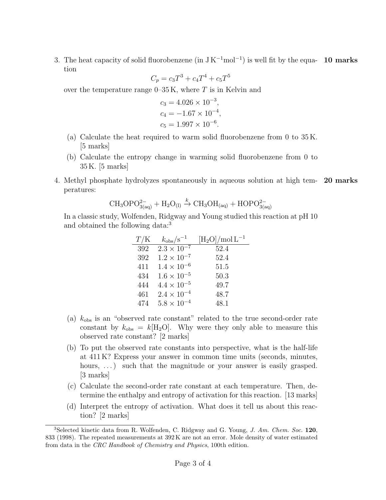3. The heat capacity of solid fluorobenzene (in  $JK^{-1}$ mol<sup>-1</sup>) is well fit by the equa- 10 marks tion 5

$$
C_p = c_3 T^3 + c_4 T^4 + c_5 T^5
$$

over the temperature range  $0-35$  K, where T is in Kelvin and

$$
c_3 = 4.026 \times 10^{-3},
$$
  
\n
$$
c_4 = -1.67 \times 10^{-4},
$$
  
\n
$$
c_5 = 1.997 \times 10^{-6}.
$$

- (a) Calculate the heat required to warm solid fluorobenzene from 0 to 35 K. [5 marks]
- (b) Calculate the entropy change in warming solid fluorobenzene from 0 to 35 K. [5 marks]
- 4. Methyl phosphate hydrolyzes spontaneously in aqueous solution at high tem- 20 marks peratures:

$$
\mathrm{CH_{3}OPO_{3(aq)}^{2-}} + \mathrm{H_{2}O_{(l)}} \xrightarrow{k} \mathrm{CH_{3}OH_{(aq)}} + \mathrm{HOPO_{3(aq)}^{2-}}
$$

In a classic study, Wolfenden, Ridgway and Young studied this reaction at pH 10 and obtained the following data:<sup>3</sup>

| T/K | $k_{\rm obs}/\rm s^{-1}$ | $[\text{H}_2\text{O}]/\text{mol}\,\text{L}^{-1}$ |
|-----|--------------------------|--------------------------------------------------|
| 392 | $2.3 \times 10^{-7}$     | 52.4                                             |
| 392 | $1.2 \times 10^{-7}$     | 52.4                                             |
| 411 | $1.4 \times 10^{-6}$     | 51.5                                             |
| 434 | $1.6 \times 10^{-5}$     | 50.3                                             |
| 444 | $4.4 \times 10^{-5}$     | 49.7                                             |
| 461 | $2.4 \times 10^{-4}$     | 48.7                                             |
| 474 | $5.8 \times 10^{-4}$     | 48.1                                             |

- (a)  $k_{obs}$  is an "observed rate constant" related to the true second-order rate constant by  $k_{obs} = k[H_2O]$ . Why were they only able to measure this observed rate constant? [2 marks]
- (b) To put the observed rate constants into perspective, what is the half-life at 411 K? Express your answer in common time units (seconds, minutes, hours, ...) such that the magnitude or your answer is easily grasped. [3 marks]
- (c) Calculate the second-order rate constant at each temperature. Then, determine the enthalpy and entropy of activation for this reaction. [13 marks]
- (d) Interpret the entropy of activation. What does it tell us about this reaction? [2 marks]

<sup>&</sup>lt;sup>3</sup>Selected kinetic data from R. Wolfenden, C. Ridgway and G. Young, *J. Am. Chem. Soc.* 120, 833 (1998). The repeated measurements at 392 K are not an error. Mole density of water estimated from data in the CRC Handbook of Chemistry and Physics, 100th edition.